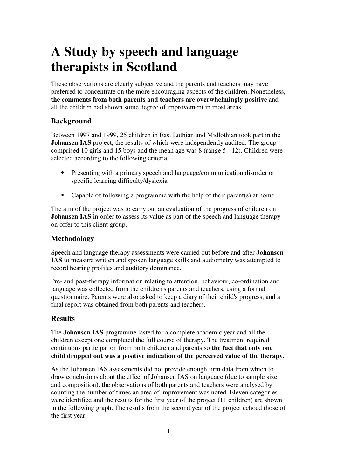# **A Study by speech and language therapists in Scotland**

These observations are clearly subjective and the parents and teachers may have preferred to concentrate on the more encouraging aspects of the children. Nonetheless, **the comments from both parents and teachers are overwhelmingly positive** and all the children had shown some degree of improvement in most areas.

# **Background**

Between 1997 and 1999, 25 children in East Lothian and Midlothian took part in the **Johansen IAS** project, the results of which were independently audited. The group comprised 10 girls and 15 boys and the mean age was 8 (range 5 - 12). Children were selected according to the following criteria:

- ⦁ Presenting with a primary speech and language/communication disorder or specific learning difficulty/dyslexia
- Capable of following a programme with the help of their parent(s) at home

The aim of the project was to carry out an evaluation of the progress of children on **Johansen IAS** in order to assess its value as part of the speech and language therapy on offer to this client group.

### **Methodology**

Speech and language therapy assessments were carried out before and after **Johansen IAS** to measure written and spoken language skills and audiometry was attempted to record hearing profiles and auditory dominance.

Pre- and post-therapy information relating to attention, behaviour, co-ordination and language was collected from the children's parents and teachers, using a formal questionnaire. Parents were also asked to keep a diary of their child's progress, and a final report was obtained from both parents and teachers.

#### **Results**

The **Johansen IAS** programme lasted for a complete academic year and all the children except one completed the full course of therapy. The treatment required continuous participation from both children and parents so **the fact that only one child dropped out was a positive indication of the perceived value of the therapy.**

As the Johansen IAS assessments did not provide enough firm data from which to draw conclusions about the effect of Johansen IAS on language (due to sample size and composition), the observations of both parents and teachers were analysed by counting the number of times an area of improvement was noted. Eleven categories were identified and the results for the first year of the project (11 children) are shown in the following graph. The results from the second year of the project echoed those of the first year.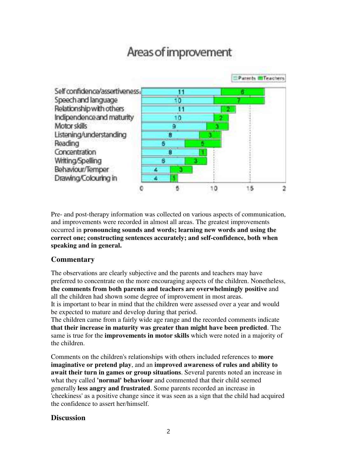# Areas of improvement



Pre- and post-therapy information was collected on various aspects of communication, and improvements were recorded in almost all areas. The greatest improvements occurred in **pronouncing sounds and words; learning new words and using the correct one; constructing sentences accurately; and self-confidence, both when speaking and in general.**

## **Commentary**

The observations are clearly subjective and the parents and teachers may have preferred to concentrate on the more encouraging aspects of the children. Nonetheless, **the comments from both parents and teachers are overwhelmingly positive** and all the children had shown some degree of improvement in most areas.

It is important to bear in mind that the children were assessed over a year and would be expected to mature and develop during that period.

The children came from a fairly wide age range and the recorded comments indicate **that their increase in maturity was greater than might have been predicted**. The same is true for the **improvements in motor skills** which were noted in a majority of the children.

Comments on the children's relationships with others included references to **more imaginative or pretend play**, and an **improved awareness of rules and ability to await their turn in games or group situations**. Several parents noted an increase in what they called **'normal' behaviour** and commented that their child seemed generally **less angry and frustrated**. Some parents recorded an increase in 'cheekiness' as a positive change since it was seen as a sign that the child had acquired the confidence to assert her/himself.

#### **Discussion**